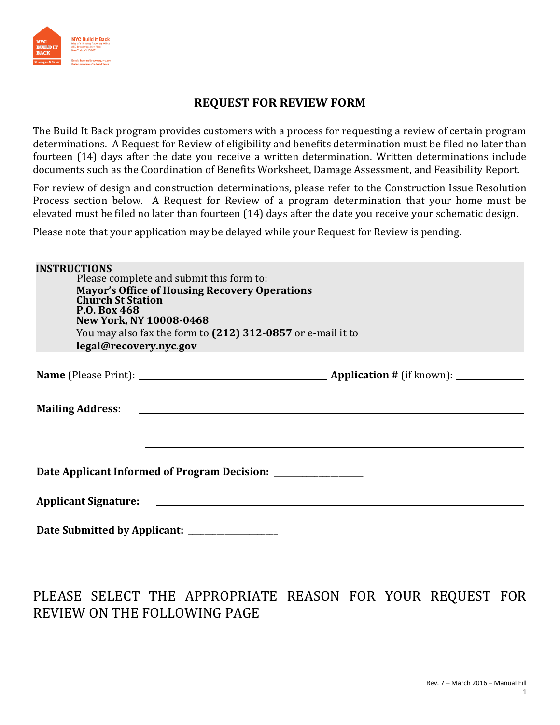

## **REQUEST FOR REVIEW FORM**

The Build It Back program provides customers with a process for requesting a review of certain program determinations. A Request for Review of eligibility and benefits determination must be filed no later than fourteen (14) days after the date you receive a written determination. Written determinations include documents such as the Coordination of Benefits Worksheet, Damage Assessment, and Feasibility Report.

For review of design and construction determinations, please refer to the Construction Issue Resolution Process section below. A Request for Review of a program determination that your home must be elevated must be filed no later than <u>fourteen (14) days</u> after the date you receive your schematic design.

Please note that your application may be delayed while your Request for Review is pending.

| <b>INSTRUCTIONS</b><br><b>Church St Station</b><br><b>P.O. Box 468</b><br>New York, NY 10008-0468<br>legal@recovery.nyc.gov | Please complete and submit this form to:<br><b>Mayor's Office of Housing Recovery Operations</b><br>You may also fax the form to (212) 312-0857 or e-mail it to |  |  |  |  |
|-----------------------------------------------------------------------------------------------------------------------------|-----------------------------------------------------------------------------------------------------------------------------------------------------------------|--|--|--|--|
|                                                                                                                             |                                                                                                                                                                 |  |  |  |  |
|                                                                                                                             |                                                                                                                                                                 |  |  |  |  |
|                                                                                                                             |                                                                                                                                                                 |  |  |  |  |
| Date Applicant Informed of Program Decision: _________________                                                              |                                                                                                                                                                 |  |  |  |  |
|                                                                                                                             |                                                                                                                                                                 |  |  |  |  |
| Date Submitted by Applicant:                                                                                                |                                                                                                                                                                 |  |  |  |  |

# PLEASE SELECT THE APPROPRIATE REASON FOR YOUR REQUEST FOR REVIEW ON THE FOLLOWING PAGE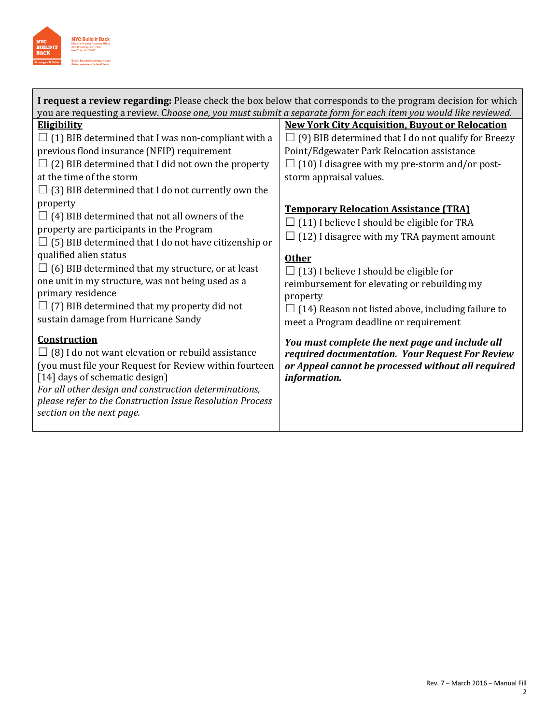

| I request a review regarding: Please check the box below that corresponds to the program decision for which<br>you are requesting a review. Choose one, you must submit a separate form for each item you would like reviewed.                                                                                                                                                                                                                                                                                                                                                                                                                                                                                                                                                                                                                                                                                                                                                                                                                              |                                                                                                                                                                                                                                                                                                                                                                                                                                                                                                                                                                                                                                                                                                                                                                                                                             |  |  |  |  |
|-------------------------------------------------------------------------------------------------------------------------------------------------------------------------------------------------------------------------------------------------------------------------------------------------------------------------------------------------------------------------------------------------------------------------------------------------------------------------------------------------------------------------------------------------------------------------------------------------------------------------------------------------------------------------------------------------------------------------------------------------------------------------------------------------------------------------------------------------------------------------------------------------------------------------------------------------------------------------------------------------------------------------------------------------------------|-----------------------------------------------------------------------------------------------------------------------------------------------------------------------------------------------------------------------------------------------------------------------------------------------------------------------------------------------------------------------------------------------------------------------------------------------------------------------------------------------------------------------------------------------------------------------------------------------------------------------------------------------------------------------------------------------------------------------------------------------------------------------------------------------------------------------------|--|--|--|--|
| <b>Eligibility</b><br>$\Box$ (1) BIB determined that I was non-compliant with a<br>previous flood insurance (NFIP) requirement<br>(2) BIB determined that I did not own the property<br>at the time of the storm<br>$\Box$ (3) BIB determined that I do not currently own the<br>property<br>$\Box$ (4) BIB determined that not all owners of the<br>property are participants in the Program<br>$\Box$ (5) BIB determined that I do not have citizenship or<br>qualified alien status<br>$\Box$ (6) BIB determined that my structure, or at least<br>one unit in my structure, was not being used as a<br>primary residence<br>$\Box$ (7) BIB determined that my property did not<br>sustain damage from Hurricane Sandy<br><b>Construction</b><br>$\Box$ (8) I do not want elevation or rebuild assistance<br>(you must file your Request for Review within fourteen<br>[14] days of schematic design]<br>For all other design and construction determinations,<br>please refer to the Construction Issue Resolution Process<br>section on the next page. | <b>New York City Acquisition, Buyout or Relocation</b><br>$\Box$ (9) BIB determined that I do not qualify for Breezy<br>Point/Edgewater Park Relocation assistance<br>(10) I disagree with my pre-storm and/or post-<br>storm appraisal values.<br><b>Temporary Relocation Assistance (TRA)</b><br>$\Box$ (11) I believe I should be eligible for TRA<br>$\Box$ (12) I disagree with my TRA payment amount<br><b>Other</b><br>$\Box$ (13) I believe I should be eligible for<br>reimbursement for elevating or rebuilding my<br>property<br>$\Box$ (14) Reason not listed above, including failure to<br>meet a Program deadline or requirement<br>You must complete the next page and include all<br>required documentation. Your Request For Review<br>or Appeal cannot be processed without all required<br>information. |  |  |  |  |
|                                                                                                                                                                                                                                                                                                                                                                                                                                                                                                                                                                                                                                                                                                                                                                                                                                                                                                                                                                                                                                                             |                                                                                                                                                                                                                                                                                                                                                                                                                                                                                                                                                                                                                                                                                                                                                                                                                             |  |  |  |  |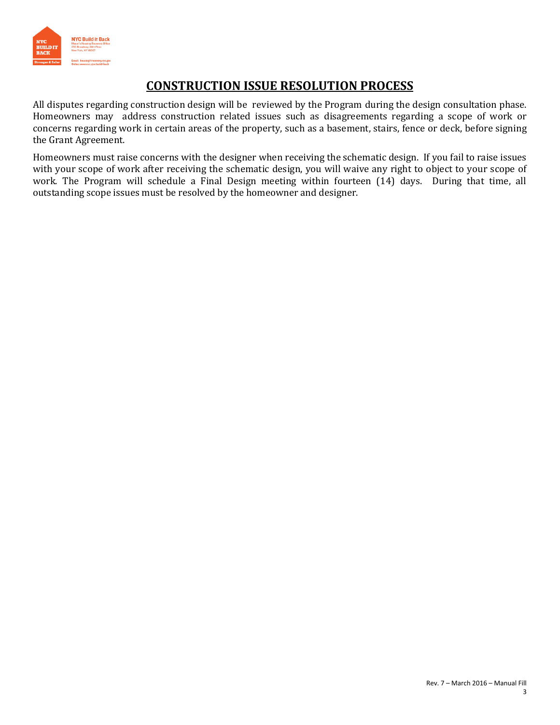

## **CONSTRUCTION ISSUE RESOLUTION PROCESS**

All disputes regarding construction design will be reviewed by the Program during the design consultation phase. Homeowners may address construction related issues such as disagreements regarding a scope of work or concerns regarding work in certain areas of the property, such as a basement, stairs, fence or deck, before signing the Grant Agreement.

Homeowners must raise concerns with the designer when receiving the schematic design. If you fail to raise issues with your scope of work after receiving the schematic design, you will waive any right to object to your scope of work. The Program will schedule a Final Design meeting within fourteen (14) days. During that time, all outstanding scope issues must be resolved by the homeowner and designer.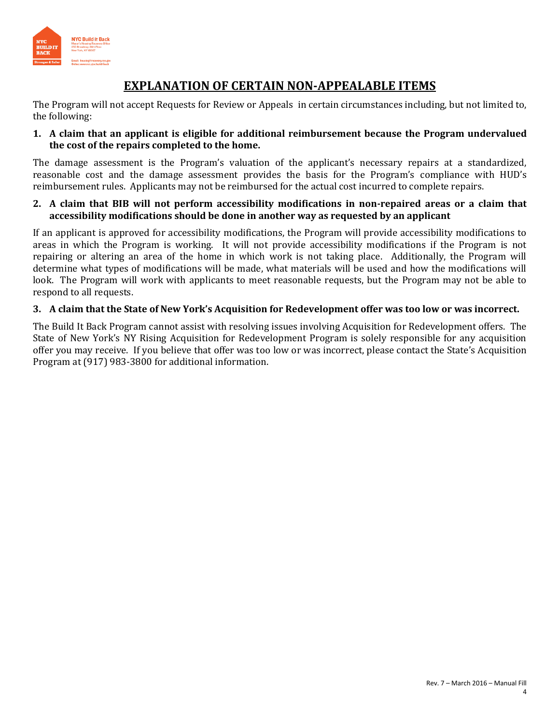

## **EXPLANATION OF CERTAIN NON-APPEALABLE ITEMS**

The Program will not accept Requests for Review or Appeals in certain circumstances including, but not limited to, the following:

#### **1. A claim that an applicant is eligible for additional reimbursement because the Program undervalued the cost of the repairs completed to the home.**

The damage assessment is the Program's valuation of the applicant's necessary repairs at a standardized, reasonable cost and the damage assessment provides the basis for the Program's compliance with HUD's reimbursement rules. Applicants may not be reimbursed for the actual cost incurred to complete repairs.

#### **2. A claim that BIB will not perform accessibility modifications in non-repaired areas or a claim that accessibility modifications should be done in another way as requested by an applicant**

If an applicant is approved for accessibility modifications, the Program will provide accessibility modifications to areas in which the Program is working. It will not provide accessibility modifications if the Program is not repairing or altering an area of the home in which work is not taking place. Additionally, the Program will determine what types of modifications will be made, what materials will be used and how the modifications will look. The Program will work with applicants to meet reasonable requests, but the Program may not be able to respond to all requests.

#### **3. A claim that the State of New York's Acquisition for Redevelopment offer was too low or was incorrect.**

The Build It Back Program cannot assist with resolving issues involving Acquisition for Redevelopment offers. The State of New York's NY Rising Acquisition for Redevelopment Program is solely responsible for any acquisition offer you may receive. If you believe that offer was too low or was incorrect, please contact the State's Acquisition Program at (917) 983-3800 for additional information.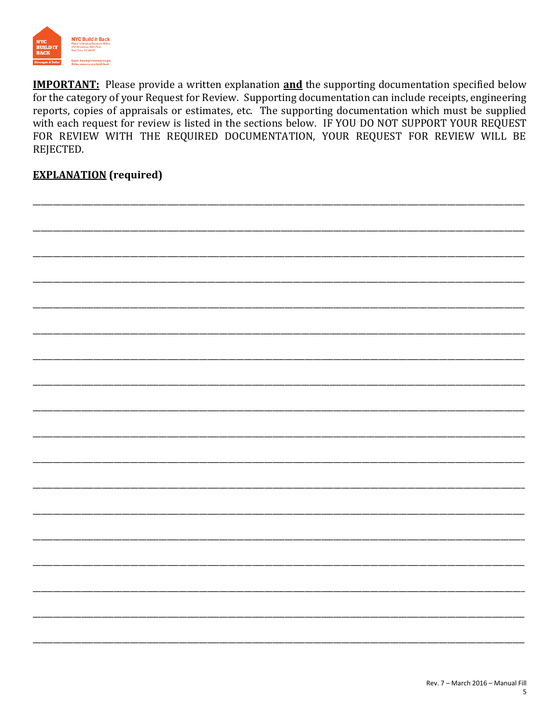

**IMPORTANT:** Please provide a written explanation **and** the supporting documentation specified below for the category of your Request for Review. Supporting documentation can include receipts, engineering reports, copies of appraisals or estimates, etc. The supporting documentation which must be supplied with each request for review is listed in the sections below. IF YOU DO NOT SUPPORT YOUR REQUEST FOR REVIEW WITH THE REQUIRED DOCUMENTATION, YOUR REQUEST FOR REVIEW WILL BE REJECTED.

## **EXPLANATION** (required)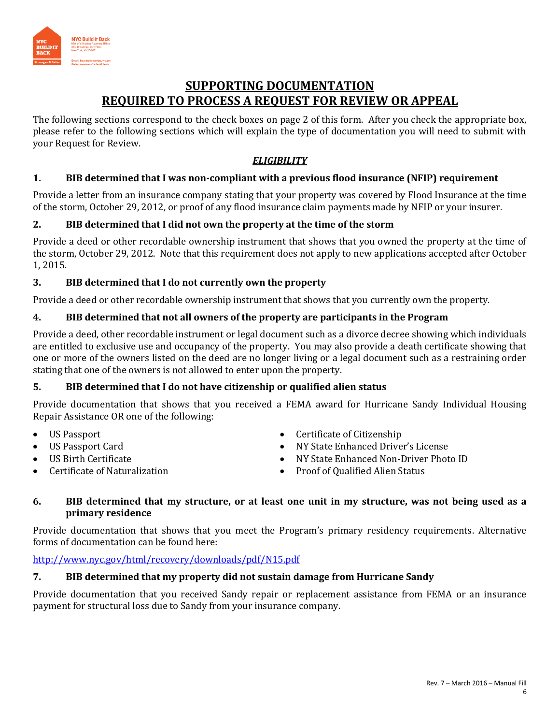

## **SUPPORTING DOCUMENTATION REQUIRED TO PROCESS A REQUEST FOR REVIEW OR APPEAL**

The following sections correspond to the check boxes on page 2 of this form. After you check the appropriate box, please refer to the following sections which will explain the type of documentation you will need to submit with your Request for Review.

### *ELIGIBILITY*

### **1. BIB determined that I was non-compliant with a previous flood insurance (NFIP) requirement**

Provide a letter from an insurance company stating that your property was covered by Flood Insurance at the time of the storm, October 29, 2012, or proof of any flood insurance claim payments made by NFIP or your insurer.

#### **2. BIB determined that I did not own the property at the time of the storm**

Provide a deed or other recordable ownership instrument that shows that you owned the property at the time of the storm, October 29, 2012. Note that this requirement does not apply to new applications accepted after October 1, 2015.

### **3. BIB determined that I do not currently own the property**

Provide a deed or other recordable ownership instrument that shows that you currently own the property.

#### **4. BIB determined that not all owners of the property are participants in the Program**

Provide a deed, other recordable instrument or legal document such as a divorce decree showing which individuals are entitled to exclusive use and occupancy of the property. You may also provide a death certificate showing that one or more of the owners listed on the deed are no longer living or a legal document such as a restraining order stating that one of the owners is not allowed to enter upon the property.

#### **5. BIB determined that I do not have citizenship or qualified alien status**

Provide documentation that shows that you received a FEMA award for Hurricane Sandy Individual Housing Repair Assistance OR one of the following:

- US Passport
- US Passport Card
- US Birth Certificate
- Certificate of Naturalization
- Certificate of Citizenship
- NY State Enhanced Driver's License
- NY State Enhanced Non-Driver Photo ID
- Proof of Qualified Alien Status

#### **6. BIB determined that my structure, or at least one unit in my structure, was not being used as a primary residence**

Provide documentation that shows that you meet the Program's primary residency requirements. Alternative forms of documentation can be found here:

#### <http://www.nyc.gov/html/recovery/downloads/pdf/N15.pdf>

### **7. BIB determined that my property did not sustain damage from Hurricane Sandy**

Provide documentation that you received Sandy repair or replacement assistance from FEMA or an insurance payment for structural loss due to Sandy from your insurance company.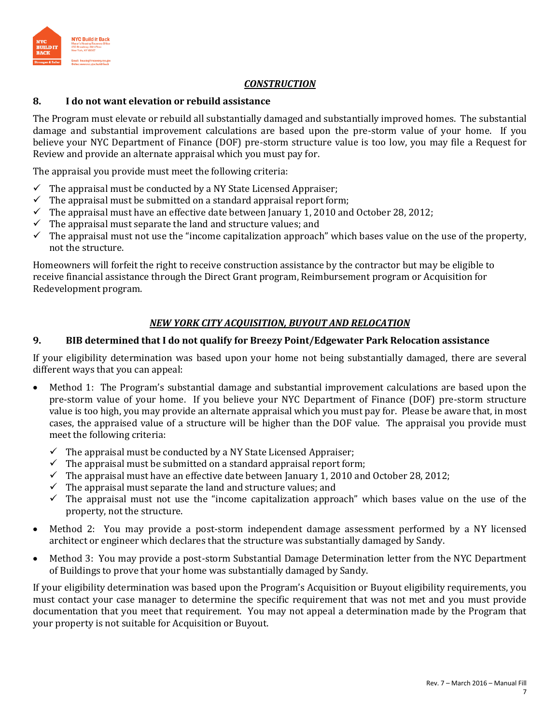

#### *CONSTRUCTION*

#### **8. I do not want elevation or rebuild assistance**

The Program must elevate or rebuild all substantially damaged and substantially improved homes. The substantial damage and substantial improvement calculations are based upon the pre-storm value of your home. If you believe your NYC Department of Finance (DOF) pre-storm structure value is too low, you may file a Request for Review and provide an alternate appraisal which you must pay for.

The appraisal you provide must meet the following criteria:

- $\checkmark$  The appraisal must be conducted by a NY State Licensed Appraiser;
- $\checkmark$  The appraisal must be submitted on a standard appraisal report form;
- $\checkmark$  The appraisal must have an effective date between January 1, 2010 and October 28, 2012;
- $\checkmark$  The appraisal must separate the land and structure values; and
- $\checkmark$  The appraisal must not use the "income capitalization approach" which bases value on the use of the property, not the structure.

Homeowners will forfeit the right to receive construction assistance by the contractor but may be eligible to receive financial assistance through the Direct Grant program, Reimbursement program or Acquisition for Redevelopment program.

#### *NEW YORK CITY ACQUISITION, BUYOUT AND RELOCATION*

#### **9. BIB determined that I do not qualify for Breezy Point/Edgewater Park Relocation assistance**

If your eligibility determination was based upon your home not being substantially damaged, there are several different ways that you can appeal:

- Method 1: The Program's substantial damage and substantial improvement calculations are based upon the pre-storm value of your home. If you believe your NYC Department of Finance (DOF) pre-storm structure value is too high, you may provide an alternate appraisal which you must pay for. Please be aware that, in most cases, the appraised value of a structure will be higher than the DOF value. The appraisal you provide must meet the following criteria:
	- $\checkmark$  The appraisal must be conducted by a NY State Licensed Appraiser;
	- $\checkmark$  The appraisal must be submitted on a standard appraisal report form;
	- $\checkmark$  The appraisal must have an effective date between January 1, 2010 and October 28, 2012;
	- $\checkmark$  The appraisal must separate the land and structure values; and
	- $\checkmark$  The appraisal must not use the "income capitalization approach" which bases value on the use of the property, not the structure.
- Method 2: You may provide a post-storm independent damage assessment performed by a NY licensed architect or engineer which declares that the structure was substantially damaged by Sandy.
- Method 3: You may provide a post-storm Substantial Damage Determination letter from the NYC Department of Buildings to prove that your home was substantially damaged by Sandy.

If your eligibility determination was based upon the Program's Acquisition or Buyout eligibility requirements, you must contact your case manager to determine the specific requirement that was not met and you must provide documentation that you meet that requirement. You may not appeal a determination made by the Program that your property is not suitable for Acquisition or Buyout.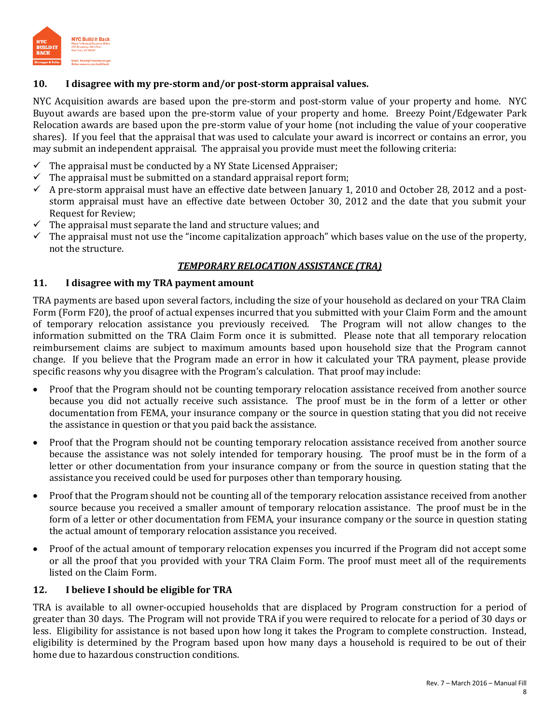

#### **10. I disagree with my pre-storm and/or post-storm appraisal values.**

NYC Acquisition awards are based upon the pre-storm and post-storm value of your property and home. NYC Buyout awards are based upon the pre-storm value of your property and home. Breezy Point/Edgewater Park Relocation awards are based upon the pre-storm value of your home (not including the value of your cooperative shares). If you feel that the appraisal that was used to calculate your award is incorrect or contains an error, you may submit an independent appraisal. The appraisal you provide must meet the following criteria:

- $\checkmark$  The appraisal must be conducted by a NY State Licensed Appraiser;
- $\checkmark$  The appraisal must be submitted on a standard appraisal report form;
- $\checkmark$  A pre-storm appraisal must have an effective date between January 1, 2010 and October 28, 2012 and a poststorm appraisal must have an effective date between October 30, 2012 and the date that you submit your Request for Review;
- The appraisal must separate the land and structure values; and
- $\checkmark$  The appraisal must not use the "income capitalization approach" which bases value on the use of the property, not the structure.

#### *TEMPORARY RELOCATION ASSISTANCE (TRA)*

#### **11. I disagree with my TRA payment amount**

TRA payments are based upon several factors, including the size of your household as declared on your TRA Claim Form (Form F20), the proof of actual expenses incurred that you submitted with your Claim Form and the amount of temporary relocation assistance you previously received. The Program will not allow changes to the information submitted on the TRA Claim Form once it is submitted. Please note that all temporary relocation reimbursement claims are subject to maximum amounts based upon household size that the Program cannot change. If you believe that the Program made an error in how it calculated your TRA payment, please provide specific reasons why you disagree with the Program's calculation. That proof may include:

- Proof that the Program should not be counting temporary relocation assistance received from another source because you did not actually receive such assistance. The proof must be in the form of a letter or other documentation from FEMA, your insurance company or the source in question stating that you did not receive the assistance in question or that you paid back the assistance.
- Proof that the Program should not be counting temporary relocation assistance received from another source because the assistance was not solely intended for temporary housing. The proof must be in the form of a letter or other documentation from your insurance company or from the source in question stating that the assistance you received could be used for purposes other than temporary housing.
- Proof that the Program should not be counting all of the temporary relocation assistance received from another source because you received a smaller amount of temporary relocation assistance. The proof must be in the form of a letter or other documentation from FEMA, your insurance company or the source in question stating the actual amount of temporary relocation assistance you received.
- Proof of the actual amount of temporary relocation expenses you incurred if the Program did not accept some or all the proof that you provided with your TRA Claim Form. The proof must meet all of the requirements listed on the Claim Form.

#### **12. I believe I should be eligible for TRA**

TRA is available to all owner-occupied households that are displaced by Program construction for a period of greater than 30 days. The Program will not provide TRA if you were required to relocate for a period of 30 days or less. Eligibility for assistance is not based upon how long it takes the Program to complete construction. Instead, eligibility is determined by the Program based upon how many days a household is required to be out of their home due to hazardous construction conditions.